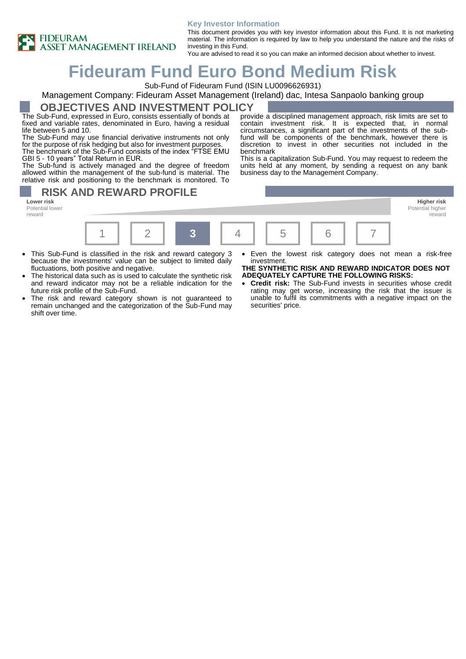

#### **Key Investor Information**

This document provides you with key investor information about this Fund. It is not marketing material. The information is required by law to help you understand the nature and the risks of investing in this Fund. You are advised to read it so you can make an informed decision about whether to invest.

# **Fideuram Fund Euro Bond Medium Risk**

Sub-Fund of Fideuram Fund (ISIN LU0096626931)

## Management Company: Fideuram Asset Management (Ireland) dac, Intesa Sanpaolo banking group

### **OBJECTIVES AND INVESTMENT POLICY**

The Sub-Fund, expressed in Euro, consists essentially of bonds at fixed and variable rates, denominated in Euro, having a residual life between 5 and 10.

The Sub-Fund may use financial derivative instruments not only for the purpose of risk hedging but also for investment purposes. The benchmark of the Sub-Fund consists of the index "FTSE EMU

GBI 5 - 10 years" Total Return in EUR. The Sub-fund is actively managed and the degree of freedom

allowed within the management of the sub-fund is material. The relative risk and positioning to the benchmark is monitored. To

**RISK AND REWARD PROFILE** 

**Lower risk Higher risk** Potential lower reward



benchmark

- This Sub-Fund is classified in the risk and reward category 3 because the investments' value can be subject to limited daily fluctuations, both positive and negative.
- The historical data such as is used to calculate the synthetic risk and reward indicator may not be a reliable indication for the future risk profile of the Sub-Fund.
- The risk and reward category shown is not guaranteed to remain unchanged and the categorization of the Sub-Fund may shift over time.

Even the lowest risk category does not mean a risk-free

Potential higher reward

provide a disciplined management approach, risk limits are set to contain investment risk. It is expected that, in normal circumstances, a significant part of the investments of the subfund will be components of the benchmark, however there is discretion to invest in other securities not included in the

This is a capitalization Sub-Fund. You may request to redeem the units held at any moment, by sending a request on any bank

business day to the Management Company.

investment. **THE SYNTHETIC RISK AND REWARD INDICATOR DOES NOT** 

## **ADEQUATELY CAPTURE THE FOLLOWING RISKS:**

• **Credit risk:** The Sub-Fund invests in securities whose credit rating may get worse, increasing the risk that the issuer is unable to fulfil its commitments with a negative impact on the securities' price.